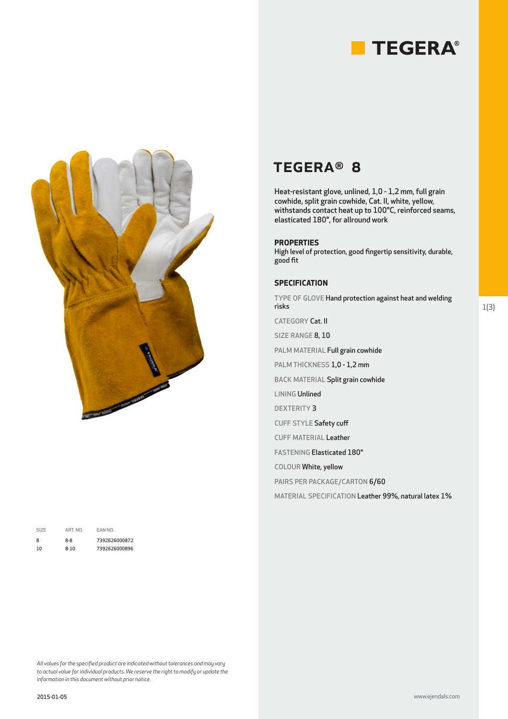



| SI <sub>7</sub> F | ART. NO. | EAN NO.       |
|-------------------|----------|---------------|
| 8                 | $8-8$    | 7392626000872 |
| 10                | $8 - 10$ | 7392626000896 |

# TEGERA® 8

Heat-resistant glove, unlined, 1,0 - 1,2 mm, full grain cowhide, split grain cowhide, Cat. II, white, yellow, withstands contact heat up to 100°C, reinforced seams, elasticated 180°, for allround work

### **PROPERTIES**

High level of protection, good fingertip sensitivity, durable, good fit

#### **SPECIFICATION**

TYPE OF GLOVE Hand protection against heat and welding risks

CATEGORY Cat. II

SIZE RANGE 8, 10

PALM MATERIAL Full grain cowhide

PALM THICKNESS 1,0 - 1,2 mm

BACK MATERIAL Split grain cowhide

LINING Unlined

DEXTERITY 3

CUFF STYLE Safety cuff

CUFF MATERIAL Leather

FASTENING Elasticated 180°

COLOUR White, yellow

PAIRS PER PACKAGE/CARTON 6/60

MATERIAL SPECIFICATION Leather 99%, natural latex 1%

*All values for the specified product are indicated without tolerances and may vary to actual value for individual products. We reserve the right to modify or update the information in this document without prior notice.*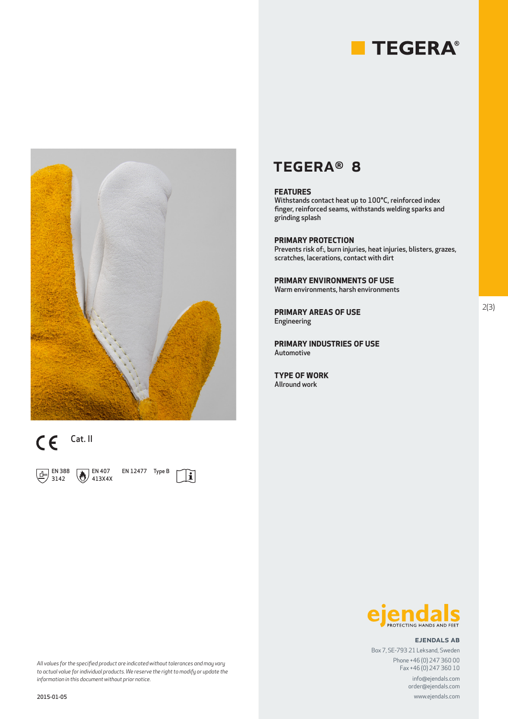



# $\mathsf{CE}$  Cat. II

 $\Box$  EN 388 3142

 $\bigotimes$  EN 407 413X4X EN 12477 Type B

 $|\mathbf{i}|$ 

### TEGERA® 8

#### **FEATURES**

Withstands contact heat up to 100°C, reinforced index finger, reinforced seams, withstands welding sparks and grinding splash

#### **PRIMARY PROTECTION**

Prevents risk of:, burn injuries, heat injuries, blisters, grazes, scratches, lacerations, contact with dirt

**PRIMARY ENVIRONMENTS OF USE** Warm environments, harsh environments

**PRIMARY AREAS OF USE** Engineering

**PRIMARY INDUSTRIES OF USE** Automotive

**TYPE OF WORK** Allround work



#### ejendals ab

Box 7, SE-793 21 Leksand, Sweden Phone +46 (0) 247 360 00 Fax +46 (0) 247 360 10

www.ejendals.com info@ejendals.com order@ejendals.com

*All values for the specified product are indicated without tolerances and may vary to actual value for individual products. We reserve the right to modify or update the information in this document without prior notice.*